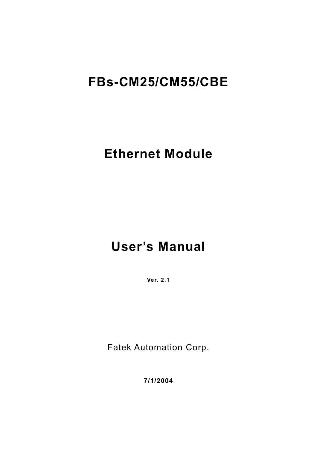# **FBs-CM25/CM55/CBE**

# **Ethernet Module**

# **User's Manual**

**Ver. 2.1**

Fatek Automation Corp.

**7/1/2004**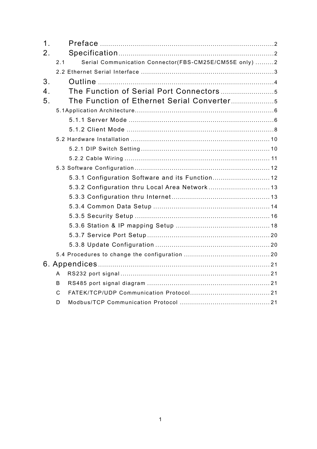| 1 <sub>1</sub>   |     |                                                        |  |
|------------------|-----|--------------------------------------------------------|--|
| 2 <sub>1</sub>   |     |                                                        |  |
|                  | 2.1 | Serial Communication Connector(FBS-CM25E/CM55E only) 2 |  |
|                  |     |                                                        |  |
| 3.               |     |                                                        |  |
| $\overline{4}$ . |     |                                                        |  |
| 5 <sub>1</sub>   |     |                                                        |  |
|                  |     |                                                        |  |
|                  |     |                                                        |  |
|                  |     |                                                        |  |
|                  |     |                                                        |  |
|                  |     |                                                        |  |
|                  |     |                                                        |  |
|                  |     |                                                        |  |
|                  |     | 5.3.1 Configuration Software and its Function 12       |  |
|                  |     |                                                        |  |
|                  |     |                                                        |  |
|                  |     |                                                        |  |
|                  |     |                                                        |  |
|                  |     |                                                        |  |
|                  |     |                                                        |  |
|                  |     |                                                        |  |
|                  |     |                                                        |  |
|                  |     |                                                        |  |
|                  | A   |                                                        |  |
|                  | B   |                                                        |  |
|                  | C   |                                                        |  |
|                  | D   |                                                        |  |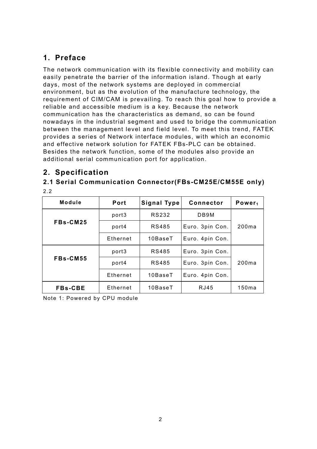# **1. Preface**

The network communication with its flexible connectivity and mobility can easily penetrate the barrier of the information island. Though at early days, most of the network systems are deployed in commercial environment, but as the evolution of the manufacture technology, the requirement of CIM/CAM is prevailing. To reach this goal how to provide a reliable and accessible medium is a key. Because the network communication has the characteristics as demand, so can be found nowadays in the industrial segment and used to bridge the communication between the management level and field level. To meet this trend, FATEK provides a series of Network interface modules, with which an economic and effective network solution for FATEK FBs-PLC can be obtained. Besides the network function, some of the modules also provide an additional serial communication port for application.

# **2. Specification**

# **2.1 Serial Communication Connector(FBs-CM25E/CM55E only)**

2.2

| Module         | Port     | Signal Type   | <b>Connector</b> | Power <sub>1</sub> |
|----------------|----------|---------------|------------------|--------------------|
|                | port3    | RS232         | DB9M             |                    |
| FBs-CM25       | port4    | RS485         | Euro. 3pin Con.  | 200ma              |
|                | Ethernet | $10$ Base $T$ | Euro. 4pin Con.  |                    |
|                | port3    | RS485         | Euro. 3pin Con.  |                    |
| FBs-CM55       | port4    | RS485         | Euro. 3pin Con.  | 200ma              |
|                | Ethernet | $10$ Base $T$ | Euro. 4pin Con.  |                    |
| <b>FBs-CBE</b> | Ethernet | $10$ Base $T$ | RJ45             | 150ma              |

Note 1: Powered by CPU module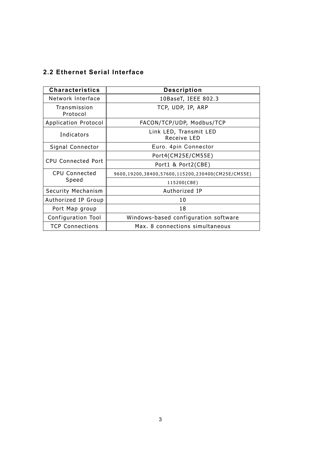## **2.2 Ethernet Serial Interface**

| <b>Characteristics</b>    | <b>Description</b>                                |
|---------------------------|---------------------------------------------------|
| Network Interface         | 10BaseT, IEEE 802.3                               |
| Transmission<br>Protocol  | TCP, UDP, IP, ARP                                 |
| Application Protocol      | FACON/TCP/UDP, Modbus/TCP                         |
| Indicators                | Link LED, Transmit LED<br>Receive LED             |
| Signal Connector          | Euro. 4pin Connector                              |
|                           | Port4(CM25E/CM55E)                                |
| <b>CPU Connected Port</b> | Port1 & Port2(CBE)                                |
| <b>CPU Connected</b>      | 9600,19200,38400,57600,115200,230400(CM25E/CM55E) |
| Speed                     | 115200(CBE)                                       |
| Security Mechanism        | Authorized IP                                     |
| Authorized IP Group       | 10                                                |
| Port Map group            | 18                                                |
| Configuration Tool        | Windows-based configuration software              |
| <b>TCP Connections</b>    | Max. 8 connections simultaneous                   |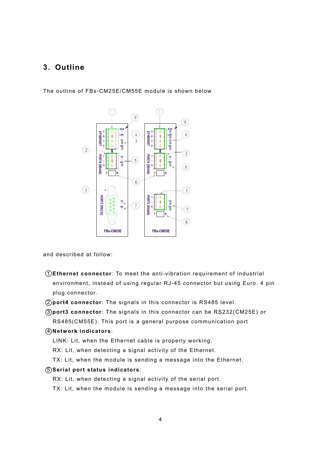## **3. Outline**

The outline of FBs-CM25E/CM55E module is shown below



and described at follow:

- 1 **Ethernet connector**: To meet the anti-vibration requirement of industrial environment, instead of using regular RJ-45 connector but using Euro. 4 pin plug connector.
- 2 **port4 connector**: The signals in this connector is RS485 level.
- 3 **port3 connector**: The signals in this connector can be RS232(CM25E) or RS485(CM55E). This port is a general purpose communication port

#### 4 **Network indicators**:

- LINK: Lit, when the Ethernet cable is properly working.
- RX: Lit, when detecting a signal activity of the Ethernet.
- TX: Lit, when the module is sending a message into the Ethernet.
- 5 **Serial port status indicators**:
	- RX: Lit, when detecting a signal activity of the serial port.
	- TX: Lit, when the module is sending a message into the serial port.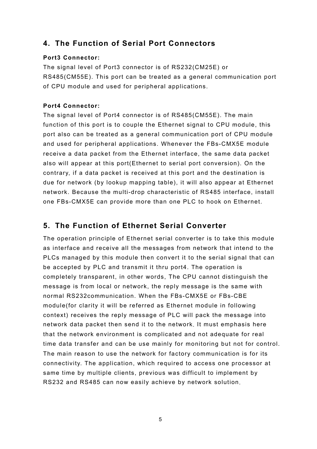# **4. The Function of Serial Port Connectors**

## **Port3 Connector:**

The signal level of Port3 connector is of RS232(CM25E) or RS485(CM55E). This port can be treated as a general communication port of CPU module and used for peripheral applications.

## **Port4 Connector:**

The signal level of Port4 connector is of RS485(CM55E). The main function of this port is to couple the Ethernet signal to CPU module, this port also can be treated as a general communication port of CPU module and used for peripheral applications. Whenever the FBs-CMX5E module receive a data packet from the Ethernet interface, the same data packet also will appear at this port(Ethernet to serial port conversion). On the contrary, if a data packet is received at this port and the destination is due for network (by lookup mapping table), it will also appear at Ethernet network. Because the multi-drop characteristic of RS485 interface, install one FBs-CMX5E can provide more than one PLC to hook on Ethernet.

# **5. The Function of Ethernet Serial Converter**

The operation principle of Ethernet serial converter is to take this module as interface and receive all the messages from network that intend to the PLCs managed by this module then convert it to the serial signal that can be accepted by PLC and transmit it thru port4. The operation is completely transparent, in other words, The CPU cannot distinguish the message is from local or network, the reply message is the same with normal RS232communication. When the FBs-CMX5E or FBs-CBE module(for clarity it will be referred as Ethernet module in following context) receives the reply message of PLC will pack the message into network data packet then send it to the network. It must emphasis here that the network environment is complicated and not adequate for real time data transfer and can be use mainly for monitoring but not for control. The main reason to use the network for factory communication is for its connectivity. The application, which required to access one processor at same time by multiple clients, previous was difficult to implement by RS232 and RS485 can now easily achieve by network solution.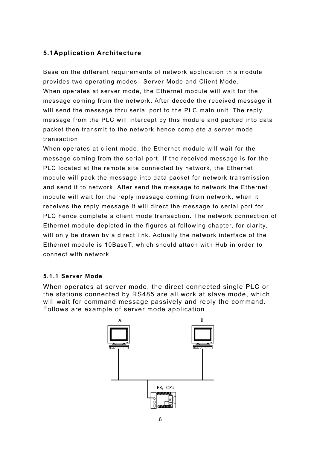## **5.1Application Architecture**

Base on the different requirements of network application this module provides two operating modes –Server Mode and Client Mode. When operates at server mode, the Ethernet module will wait for the message coming from the network. After decode the received message it will send the message thru serial port to the PLC main unit. The reply message from the PLC will intercept by this module and packed into data packet then transmit to the network hence complete a server mode transaction.

When operates at client mode, the Ethernet module will wait for the message coming from the serial port. If the received message is for the PLC located at the remote site connected by network, the Ethernet module will pack the message into data packet for network transmission and send it to network. After send the message to network the Ethernet module will wait for the reply message coming from network, when it receives the reply message it will direct the message to serial port for PLC hence complete a client mode transaction. The network connection of Ethernet module depicted in the figures at following chapter, for clarity, will only be drawn by a direct link. Actually the network interface of the Ethernet module is 10BaseT, which should attach with Hub in order to connect with network.

### **5.1.1 Server Mode**

When operates at server mode, the direct connected single PLC or the stations connected by RS485 are all work at slave mode, which will wait for command message passively and reply the command. Follows are example of server mode application

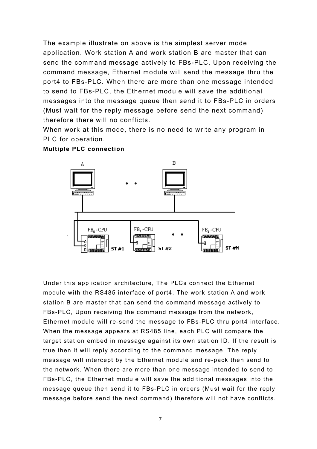The example illustrate on above is the simplest server mode application. Work station A and work station B are master that can send the command message actively to FBs-PLC, Upon receiving the command message, Ethernet module will send the message thru the port4 to FBs-PLC. When there are more than one message intended to send to FBs-PLC, the Ethernet module will save the additional messages into the message queue then send it to FBs-PLC in orders (Must wait for the reply message before send the next command) therefore there will no conflicts.

When work at this mode, there is no need to write any program in PLC for operation.



**Multiple PLC connection**

Under this application architecture, The PLCs connect the Ethernet module with the RS485 interface of port4. The work station A and work station B are master that can send the command message actively to FBs-PLC, Upon receiving the command message from the network, Ethernet module will re-send the message to FBs-PLC thru port4 interface. When the message appears at RS485 line, each PLC will compare the target station embed in message against its own station ID. If the result is true then it will reply according to the command message. The reply message will intercept by the Ethernet module and re-pack then send to the network. When there are more than one message intended to send to FBs-PLC, the Ethernet module will save the additional messages into the message queue then send it to FBs-PLC in orders (Must wait for the reply message before send the next command) therefore will not have conflicts.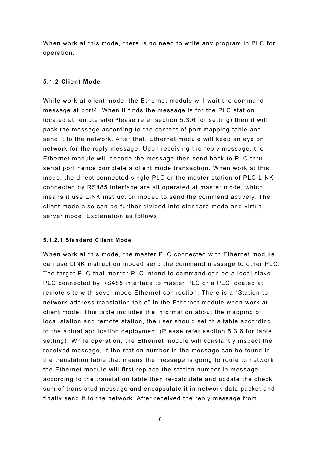When work at this mode, there is no need to write any program in PLC for operation.

### **5.1.2 Client Mode**

While work at client mode, the Ethernet module will wait the command message at port4. When it finds the message is for the PLC station located at remote site(Please refer section 5.3.6 for setting) then it will pack the message according to the content of port mapping table and send it to the network. After that, Ethernet module will keep an eye on network for the reply message. Upon receiving the reply message, the Ethernet module will decode the message then send back to PLC thru serial port hence complete a client mode transaction. When work at this mode, the direct connected single PLC or the master station of PLC LINK connected by RS485 interface are all operated at master mode, which means it use LINK instruction mode0 to send the command actively. The client mode also can be further divided into standard mode and virtual server mode. Explanation as follows

### **5.1.2.1 Standard Client Mode**

When work at this mode, the master PLC connected with Ethernet module can use LINK instruction mode0 send the command message to other PLC. The target PLC that master PLC intend to command can be a local slave PLC connected by RS485 interface to master PLC or a PLC located at remote site with sever mode Ethernet connection. There is a "Station to network address translation table" in the Ethernet module when work at client mode. This table includes the information about the mapping of local station and remote station, the user should set this table according to the actual application deployment (Please refer section 5.3.6 for table setting). While operation, the Ethernet module will constantly inspect the received message, if the station number in the message can be found in the translation table that means the message is going to route to network, the Ethernet module will first replace the station number in message according to the translation table then re-calculate and update the check sum of translated message and encapsulate it in network data packet and finally send it to the network. After received the reply message from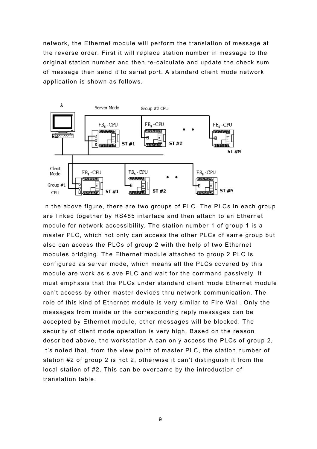network, the Ethernet module will perform the translation of message at the reverse order. First it will replace station number in message to the original station number and then re-calculate and update the check sum of message then send it to serial port. A standard client mode network application is shown as follows.



In the above figure, there are two groups of PLC. The PLCs in each group are linked together by RS485 interface and then attach to an Ethernet module for network accessibility. The station number 1 of group 1 is a master PLC, which not only can access the other PLCs of same group but also can access the PLCs of group 2 with the help of two Ethernet modules bridging. The Ethernet module attached to group 2 PLC is configured as server mode, which means all the PLCs covered by this module are work as slave PLC and wait for the command passively. It must emphasis that the PLCs under standard client mode Ethernet module can't access by other master devices thru network communication. The role of this kind of Ethernet module is very similar to Fire Wall. Only the messages from inside or the corresponding reply messages can be accepted by Ethernet module, other messages will be blocked. The security of client mode operation is very high. Based on the reason described above, the workstation A can only access the PLCs of group 2. It's noted that, from the view point of master PLC, the station number of station #2 of group 2 is not 2, otherwise it can't distinguish it from the local station of #2. This can be overcame by the introduction of translation table.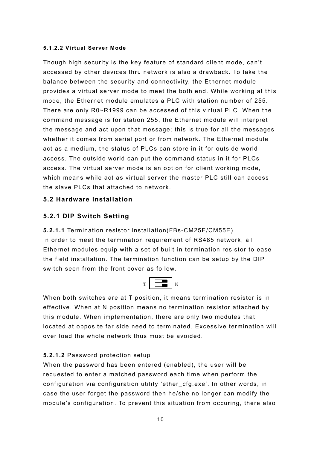#### **5.1.2.2 Virtual Server Mode**

Though high security is the key feature of standard client mode, can't accessed by other devices thru network is also a drawback. To take the balance between the security and connectivity, the Ethernet module provides a virtual server mode to meet the both end. While working at this mode, the Ethernet module emulates a PLC with station number of 255. There are only R0~R1999 can be accessed of this virtual PLC. When the command message is for station 255, the Ethernet module will interpret the message and act upon that message; this is true for all the messages whether it comes from serial port or from network. The Ethernet module act as a medium, the status of PLCs can store in it for outside world access. The outside world can put the command status in it for PLCs access. The virtual server mode is an option for client working mode, which means while act as virtual server the master PLC still can access the slave PLCs that attached to network.

## **5.2 Hardware Installation**

## **5.2.1 DIP Switch Setting**

**5.2.1.1** Termination resistor installation(FBs-CM25E/CM55E) In order to meet the termination requirement of RS485 network, all Ethernet modules equip with a set of built-in termination resistor to ease the field installation. The termination function can be setup by the DIP switch seen from the front cover as follow.



When both switches are at T position, it means termination resistor is in effective. When at N position means no termination resistor attached by this module. When implementation, there are only two modules that located at opposite far side need to terminated. Excessive termination will over load the whole network thus must be avoided.

### **5.2.1.2** Password protection setup

When the password has been entered (enabled), the user will be requested to enter a matched password each time when perform the configuration via configuration utility 'ether\_cfg.exe'. In other words, in case the user forget the password then he/she no longer can modify the module's configuration. To prevent this situation from occuring, there also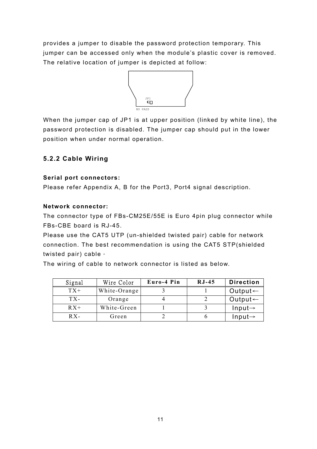provides a jumper to disable the password protection temporary. This jumper can be accessed only when the module's plastic cover is removed. The relative location of jumper is depicted at follow:



When the jumper cap of JP1 is at upper position (linked by white line), the password protection is disabled. The jumper cap should put in the lower position when under normal operation.

## **5.2.2 Cable Wiring**

## **Serial port connectors:**

Please refer Appendix A, B for the Port3, Port4 signal description.

## **Network connector:**

The connector type of FBs-CM25E/55E is Euro 4pin plug connector while FBs-CBE board is RJ-45.

Please use the CAT5 UTP (un-shielded twisted pair) cable for network connection. The best recommendation is using the CAT5 STP(shielded twisted pair) cable。

The wiring of cable to network connector is listed as below.

| Signal | Wire Color   | Euro-4 Pin | $RJ-45$ | <b>Direction</b>    |
|--------|--------------|------------|---------|---------------------|
| $TX+$  | White-Orange |            |         | Output $\leftarrow$ |
| TX-    | Orange       |            |         | Output $\leftarrow$ |
| $RX+$  | White-Green  |            |         | $Input \rightarrow$ |
| $RX -$ | Green        |            |         | $Input \rightarrow$ |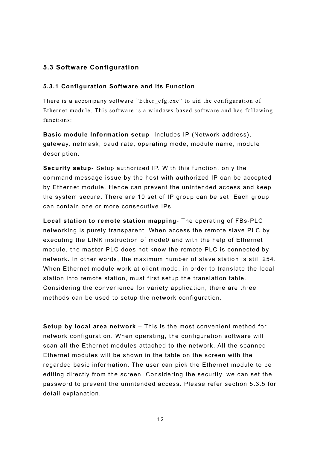## **5.3 Software Configuration**

### **5.3.1 Configuration Software and its Function**

There is a accompany software "Ether cfg.exe" to aid the configuration of Ethernet module. This software is a windows-based software and has following functions:

**Basic module Information setup**- Includes IP (Network address), gateway, netmask, baud rate, operating mode, module name, module description.

**Security setup**- Setup authorized IP. With this function, only the command message issue by the host with authorized IP can be accepted by Ethernet module. Hence can prevent the unintended access and keep the system secure. There are 10 set of IP group can be set. Each group can contain one or more consecutive IPs.

**Local station to remote station mapping**- The operating of FBs-PLC networking is purely transparent. When access the remote slave PLC by executing the LINK instruction of mode0 and with the help of Ethernet module, the master PLC does not know the remote PLC is connected by network. In other words, the maximum number of slave station is still 254. When Ethernet module work at client mode, in order to translate the local station into remote station, must first setup the translation table. Considering the convenience for variety application, there are three methods can be used to setup the network configuration.

**Setup by local area network** – This is the most convenient method for network configuration. When operating, the configuration software will scan all the Ethernet modules attached to the network. All the scanned Ethernet modules will be shown in the table on the screen with the regarded basic information. The user can pick the Ethernet module to be editing directly from the screen. Considering the security, we can set the password to prevent the unintended access. Please refer section 5.3.5 for detail explanation.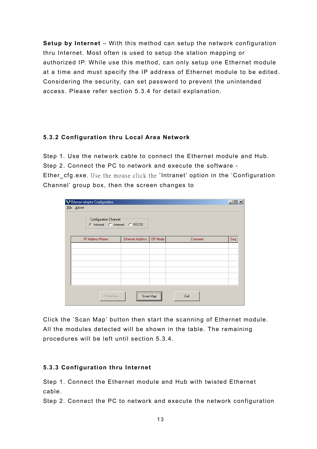**Setup by Internet** – With this method can setup the network configuration thru Internet. Most often is used to setup the station mapping or authorized IP. While use this method, can only setup one Ethernet module at a time and must specify the IP address of Ethernet module to be edited. Considering the security, can set password to prevent the unintended access. Please refer section 5.3.4 for detail explanation.

## **5.3.2 Configuration thru Local Area Network**

Step 1. Use the network cable to connect the Ethernet module and Hub. Step 2. Connect the PC to network and execute the software - Ether cfg.exe. Use the mouse click the 'Intranet' option in the 'Configuration Channel' group box, then the screen changes to

| S Ethernet adaptor Configuration<br>File About<br>Configuration Channel<br>C Intranet C Internet C RS232 |                  |              |         | $\Box$ |
|----------------------------------------------------------------------------------------------------------|------------------|--------------|---------|--------|
| IP Address/Name                                                                                          | Ethernet Address | OP Mode      | Comment | Seq.   |
|                                                                                                          |                  |              |         |        |
|                                                                                                          |                  |              |         |        |
|                                                                                                          |                  |              |         |        |
|                                                                                                          |                  |              |         |        |
|                                                                                                          |                  |              |         |        |
|                                                                                                          |                  |              |         |        |
| Properties                                                                                               |                  | Scan Map<br> | Exit    |        |

Click the 'Scan Map' button then start the scanning of Ethernet module. All the modules detected will be shown in the table. The remaining procedures will be left until section 5.3.4.

### **5.3.3 Configuration thru Internet**

Step 1. Connect the Ethernet module and Hub with twisted Ethernet cable.

Step 2. Connect the PC to network and execute the network configuration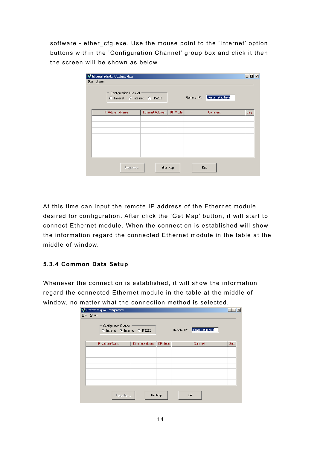software - ether\_cfg.exe. Use the mouse point to the 'Internet' option buttons within the 'Configuration Channel' group box and click it then the screen will be shown as below

| Configuration Channel | C Intranet C Internet C RS232 |         | Remote IP: | please set ip here |      |
|-----------------------|-------------------------------|---------|------------|--------------------|------|
| IP Address/Name       | <b>Ethernet Address</b>       | OP Mode |            | Comment            | Seq. |
|                       |                               |         |            |                    |      |
|                       |                               |         |            |                    |      |
|                       |                               |         |            |                    |      |
|                       |                               |         |            |                    |      |
|                       |                               |         |            |                    |      |
|                       |                               |         |            |                    |      |

At this time can input the remote IP address of the Ethernet module desired for configuration. After click the 'Get Map' button, it will start to connect Ethernet module. When the connection is established will show the information regard the connected Ethernet module in the table at the middle of window.

## **5.3.4 Common Data Setup**

Whenever the connection is established, it will show the information regard the connected Ethernet module in the table at the middle of window, no matter what the connection method is selected.

|            | S Ethernet adaptor Configuration                       |                         |         |                               |      |
|------------|--------------------------------------------------------|-------------------------|---------|-------------------------------|------|
| File About |                                                        |                         |         |                               |      |
|            | Configuration Channel<br>C Intranet C Internet C RS232 |                         |         | Remote IP: please set ip here |      |
|            | IP Address/Name                                        | <b>Ethernet Address</b> | OP Mode | Comment                       | Seq. |
|            |                                                        |                         |         |                               |      |
|            |                                                        |                         |         |                               |      |
|            |                                                        |                         |         |                               |      |
|            |                                                        |                         |         |                               |      |
|            |                                                        |                         |         |                               |      |
|            |                                                        |                         |         |                               |      |
|            | Properties                                             |                         | Get Map | Exit                          |      |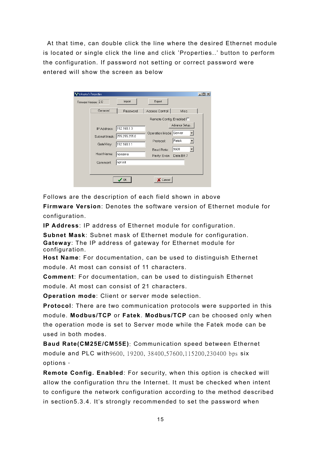At that time, can double click the line where the desired Ethernet module is located or single click the line and click 'Properties..' button to perform the configuration. If password not setting or correct password were entered will show the screen as below

| Adaptor's Properties       |             |                                  |                     | $  $ $  $ $\times$ $ $ |
|----------------------------|-------------|----------------------------------|---------------------|------------------------|
| Firmware Version: 2.0      | Import      | Export                           |                     |                        |
| General                    | Password    | Access Control                   | Misc.               |                        |
|                            |             | Remote Config. Enabled $\square$ |                     |                        |
| IP Address:                | 192.168.1.3 |                                  | Advance Setup       |                        |
| Subnet Mask: 255.255.255.0 |             | Operation Mode: Server           |                     |                        |
| GateWay:                   | 192.168.1.1 | Protocol:                        | Fatek               |                        |
| Host Name:                 | Inoname     | Baud Rate:<br>Parity: Even       | 9600<br>Data Bit: 7 |                        |
| Comment:                   | Inot init   |                                  |                     |                        |
|                            |             |                                  |                     |                        |
|                            | <b>OK</b>   | Cancel                           |                     |                        |

Follows are the description of each field shown in above

**Firmware Version**: Denotes the software version of Ethernet module for configuration.

**IP Address**: IP address of Ethernet module for configuration.

**Subnet Mask**: Subnet mask of Ethernet module for configuration. **Gateway**: The IP address of gateway for Ethernet module for configuration.

**Host Name**: For documentation, can be used to distinguish Ethernet module. At most can consist of 11 characters.

**Comment**: For documentation, can be used to distinguish Ethernet module. At most can consist of 21 characters.

**Operation mode**: Client or server mode selection.

**Protocol**: There are two communication protocols were supported in this module. **Modbus/TCP** or **Fatek**. **Modbus/TCP** can be choosed only when the operation mode is set to Server mode while the Fatek mode can be used in both modes.

**Baud Rate(CM25E/CM55E)**: Communication speed between Ethernet module and PLC with9600, 19200, 38400,57600,115200,230400 bps six options。

**Remote Config. Enabled**: For security, when this option is checked will allow the configuration thru the Internet. It must be checked when intent to configure the network configuration according to the method described in section5.3.4. It's strongly recommended to set the password when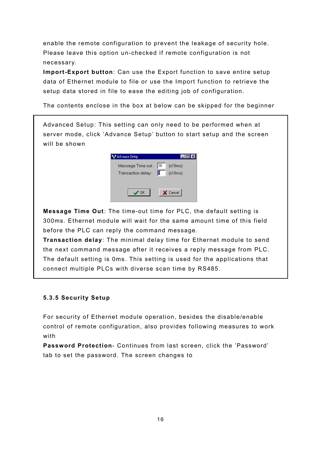enable the remote configuration to prevent the leakage of security hole. Please leave this option un-checked if remote configuration is not necessary.

**Import-Export button**: Can use the Export function to save entire setup data of Ethernet module to file or use the Import function to retrieve the setup data stored in file to ease the editing job of configuration.

The contents enclose in the box at below can be skipped for the beginner

Advanced Setup: This setting can only need to be performed when at server mode, click 'Advance Setup' button to start setup and the screen will be shown

| Advance Setup                           |                           |
|-----------------------------------------|---------------------------|
| Message Time out:<br>Transaction delay: | 130<br>(x10ms)<br>(x10ms) |
| <b>OK</b>                               | X Cancel                  |

**Message Time Out**: The time-out time for PLC, the default setting is 300ms. Ethernet module will wait for the same amount time of this field before the PLC can reply the command message.

**Transaction delay**: The minimal delay time for Ethernet module to send the next command message after it receives a reply message from PLC. The default setting is 0ms. This setting is used for the applications that connect multiple PLCs with diverse scan time by RS485.

## **5.3.5 Security Setup**

For security of Ethernet module operation, besides the disable/enable control of remote configuration, also provides following measures to work with

**Password Protection**- Continues from last screen, click the 'Password' tab to set the password. The screen changes to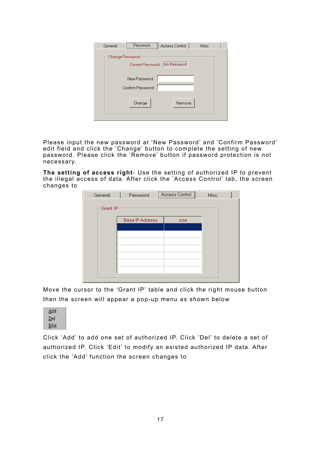| General | Password                      | Access Control | Misc. |
|---------|-------------------------------|----------------|-------|
|         | Change Password               |                |       |
|         | Current Password: No Password |                |       |
|         | New Password:                 |                |       |
|         | Confirm Password:             |                |       |
|         |                               |                |       |
|         | Change                        | Remove         |       |
|         |                               |                |       |

Please input the new password at 'New Password' and 'Confirm Password' edit field and click the 'Change' button to complete the setting of new password. Please click the 'Remove' button if password protection is not necessary.

**The setting of access right**- Use the setting of authorized IP to prevent the illegal access of data. After click the 'Access Control' tab, the screen changes to

| General  | Password               | Access Control | Misc. |
|----------|------------------------|----------------|-------|
| Grant IP |                        |                |       |
|          |                        |                |       |
|          | <b>Base IP Address</b> | size           |       |
|          |                        |                |       |
|          |                        |                |       |
|          |                        |                |       |
|          |                        |                |       |
|          |                        |                |       |
|          |                        |                |       |
|          |                        |                |       |
|          |                        |                |       |

Move the cursor to the 'Grant IP' table and click the right mouse button then the screen will appear a pop-up menu as shown below



Click 'Add' to add one set of authorized IP. Click 'Del' to delete a set of authorized IP. Click 'Edit' to modify an existed authorized IP data. After click the 'Add' function the screen changes to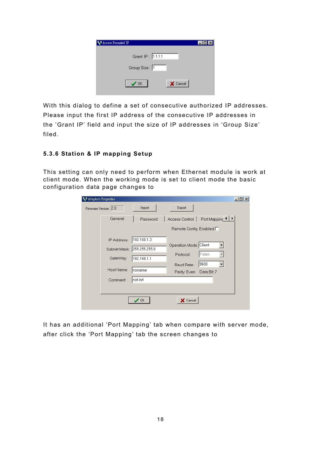| Access Permited IP      |  |
|-------------------------|--|
| Grant IP: 1.1.1.1       |  |
| Group Size: 1           |  |
| X Cancel<br>$\sqrt{0K}$ |  |

With this dialog to define a set of consecutive authorized IP addresses. Please input the first IP address of the consecutive IP addresses in the 'Grant IP' field and input the size of IP addresses in 'Group Size' filed.

## **5.3.6 Station & IP mapping Setup**

This setting can only need to perform when Ethernet module is work at client mode. When the working mode is set to client mode the basic configuration data page changes to

| Adaptor's Properties       |                              |                                  |                     | $-10x$ |
|----------------------------|------------------------------|----------------------------------|---------------------|--------|
| Firmware Version: 2.0      | Import                       | Export                           |                     |        |
| General                    | Password                     | Access Control                   | Port Mapping 1 ▶    |        |
|                            |                              | Remote Config. Enabled $\square$ |                     |        |
| IP Address:                | 192.168.1.3                  |                                  |                     |        |
| Subnet Mask: 255.255.255.0 |                              | Operation Mode: Client           | ▼                   |        |
| GateWay:                   | 192.168.1.1                  | Protocol:                        | Fatek               |        |
| Host Name:                 | noname                       | Baud Rate:<br>Parity: Even       | 9600<br>Data Bit: 7 |        |
| Comment:                   | not init                     |                                  |                     |        |
|                            |                              |                                  |                     |        |
|                            | $\boldsymbol{\checkmark}$ ok | X Cancel                         |                     |        |
|                            |                              |                                  |                     |        |

It has an additional 'Port Mapping' tab when compare with server mode, after click the 'Port Mapping' tab the screen changes to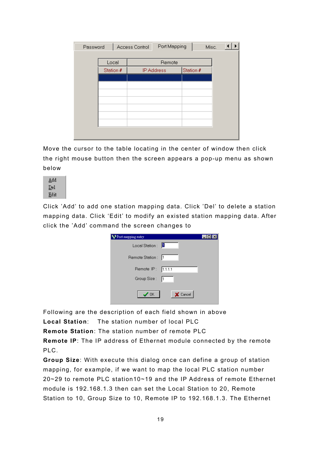| Password |           |  | Access Control | Port Mapping          |           | Misc. |  |
|----------|-----------|--|----------------|-----------------------|-----------|-------|--|
|          | Local     |  |                | Remote                |           |       |  |
|          | Station # |  |                | <b>IP Address</b><br> | Station # |       |  |
|          |           |  |                |                       |           |       |  |
|          |           |  |                |                       |           |       |  |
|          |           |  |                |                       |           |       |  |
|          |           |  |                |                       |           |       |  |
|          |           |  |                |                       |           |       |  |

Move the cursor to the table locating in the center of window then click the right mouse button then the screen appears a pop-up menu as shown below



Click 'Add' to add one station mapping data. Click 'Del' to delete a station mapping data. Click 'Edit' to modify an existed station mapping data. After click the 'Add' command the screen changes to

| Port mapping entry       |  |
|--------------------------|--|
| Local Station: 0         |  |
| Remote Station:  1       |  |
| Remote IP: 1.1.1.1       |  |
| Group Size: [1           |  |
| X Cancel<br>$\bigvee$ OK |  |

Following are the description of each field shown in above

**Local Station**: The station number of local PLC

**Remote Station**: The station number of remote PLC

**Remote IP**: The IP address of Ethernet module connected by the remote PLC.

**Group Size**: With execute this dialog once can define a group of station mapping, for example, if we want to map the local PLC station number 20~29 to remote PLC station10~19 and the IP Address of remote Ethernet module is 192.168.1.3 then can set the Local Station to 20, Remote Station to 10, Group Size to 10, Remote IP to 192.168.1.3. The Ethernet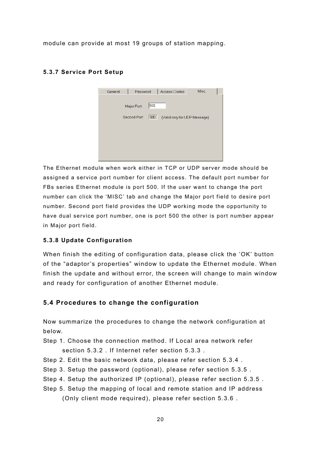module can provide at most 19 groups of station mapping.

| General | Password            | Access Control               | Misc. |
|---------|---------------------|------------------------------|-------|
|         |                     |                              |       |
|         | 500<br>Major Port:  |                              |       |
|         | Second Port:<br>500 | (Valid only for UDP Message) |       |
|         |                     |                              |       |
|         |                     |                              |       |
|         |                     |                              |       |
|         |                     |                              |       |
|         |                     |                              |       |

#### **5.3.7 Service Port Setup**

The Ethernet module when work either in TCP or UDP server mode should be assigned a service port number for client access. The default port number for FBs series Ethernet module is port 500. If the user want to change the port number can click the 'MISC' tab and change the Major port field to desire port number. Second port field provides the UDP working mode the opportunity to have dual service port number, one is port 500 the other is port number appear in Major port field.

## **5.3.8 Update Configuration**

When finish the editing of configuration data, please click the 'OK' button of the "adaptor's properties" window to update the Ethernet module. When finish the update and without error, the screen will change to main window and ready for configuration of another Ethernet module.

## **5.4 Procedures to change the configuration**

Now summarize the procedures to change the network configuration at below.

- Step 1. Choose the connection method. If Local area network refer section 5.3.2 . If Internet refer section 5.3.3 .
- Step 2. Edit the basic network data, please refer section 5.3.4 .
- Step 3. Setup the password (optional), please refer section 5.3.5 .
- Step 4. Setup the authorized IP (optional), please refer section 5.3.5 .
- Step 5. Setup the mapping of local and remote station and IP address

(Only client mode required), please refer section 5.3.6 .